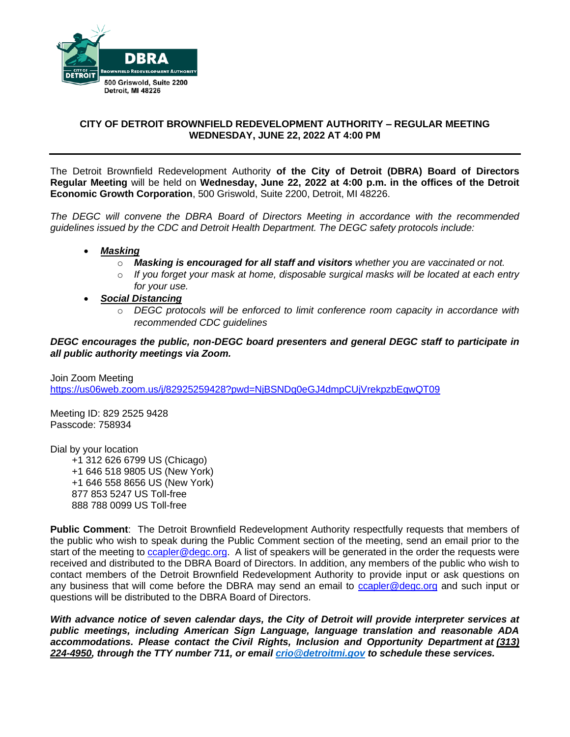

# **CITY OF DETROIT BROWNFIELD REDEVELOPMENT AUTHORITY – REGULAR MEETING WEDNESDAY, JUNE 22, 2022 AT 4:00 PM**

The Detroit Brownfield Redevelopment Authority **of the City of Detroit (DBRA) Board of Directors Regular Meeting** will be held on **Wednesday, June 22, 2022 at 4:00 p.m. in the offices of the Detroit Economic Growth Corporation**, 500 Griswold, Suite 2200, Detroit, MI 48226.

*The DEGC will convene the DBRA Board of Directors Meeting in accordance with the recommended guidelines issued by the CDC and Detroit Health Department. The DEGC safety protocols include:*

- *Masking*
	- o *Masking is encouraged for all staff and visitors whether you are vaccinated or not.*
	- o *If you forget your mask at home, disposable surgical masks will be located at each entry for your use.*
- *Social Distancing* 
	- o *DEGC protocols will be enforced to limit conference room capacity in accordance with recommended CDC guidelines*

*DEGC encourages the public, non-DEGC board presenters and general DEGC staff to participate in all public authority meetings via Zoom.* 

Join Zoom Meeting <https://us06web.zoom.us/j/82925259428?pwd=NjBSNDg0eGJ4dmpCUjVrekpzbEgwQT09>

Meeting ID: 829 2525 9428 Passcode: 758934

Dial by your location +1 312 626 6799 US (Chicago) +1 646 518 9805 US (New York) +1 646 558 8656 US (New York) 877 853 5247 US Toll-free 888 788 0099 US Toll-free

**Public Comment**: The Detroit Brownfield Redevelopment Authority respectfully requests that members of the public who wish to speak during the Public Comment section of the meeting, send an email prior to the start of the meeting to [ccapler@degc.org.](mailto:ccapler@degc.org) A list of speakers will be generated in the order the requests were received and distributed to the DBRA Board of Directors. In addition, any members of the public who wish to contact members of the Detroit Brownfield Redevelopment Authority to provide input or ask questions on any business that will come before the DBRA may send an email to [ccapler@degc.org](mailto:ccapler@degc.org) and such input or questions will be distributed to the DBRA Board of Directors.

*With advance notice of seven calendar days, the City of Detroit will provide interpreter services at public meetings, including American Sign Language, language translation and reasonable ADA accommodations. Please contact the Civil Rights, Inclusion and Opportunity Department at (313) 224-4950, through the TTY number 711, or email [crio@detroitmi.gov](mailto:crio@detroitmi.gov) to schedule these services.*